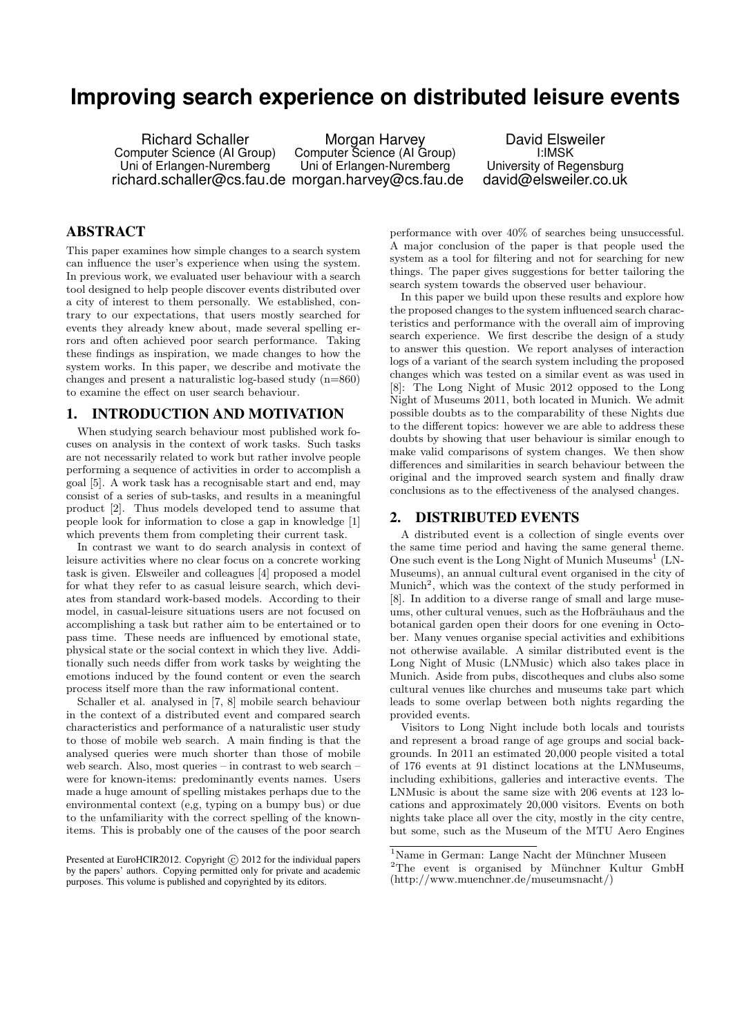# **Improving search experience on distributed leisure events**

Richard Schaller Computer Science (AI Group) Uni of Erlangen-Nuremberg richard.schaller@cs.fau.de morgan.harvey@cs.fau.de

Morgan Harvey Computer Science (AI Group) Uni of Erlangen-Nuremberg

David Elsweiler I:IMSK University of Regensburg david@elsweiler.co.uk

# ABSTRACT

This paper examines how simple changes to a search system can influence the user's experience when using the system. In previous work, we evaluated user behaviour with a search tool designed to help people discover events distributed over a city of interest to them personally. We established, contrary to our expectations, that users mostly searched for events they already knew about, made several spelling errors and often achieved poor search performance. Taking these findings as inspiration, we made changes to how the system works. In this paper, we describe and motivate the changes and present a naturalistic log-based study (n=860) to examine the effect on user search behaviour.

# 1. INTRODUCTION AND MOTIVATION

When studying search behaviour most published work focuses on analysis in the context of work tasks. Such tasks are not necessarily related to work but rather involve people performing a sequence of activities in order to accomplish a goal [\[5\]](#page-3-0). A work task has a recognisable start and end, may consist of a series of sub-tasks, and results in a meaningful product [\[2\]](#page-3-1). Thus models developed tend to assume that people look for information to close a gap in knowledge [\[1\]](#page-3-2) which prevents them from completing their current task.

In contrast we want to do search analysis in context of leisure activities where no clear focus on a concrete working task is given. Elsweiler and colleagues [\[4\]](#page-3-3) proposed a model for what they refer to as casual leisure search, which deviates from standard work-based models. According to their model, in casual-leisure situations users are not focused on accomplishing a task but rather aim to be entertained or to pass time. These needs are influenced by emotional state, physical state or the social context in which they live. Additionally such needs differ from work tasks by weighting the emotions induced by the found content or even the search process itself more than the raw informational content.

Schaller et al. analysed in [\[7,](#page-3-4) [8\]](#page-3-5) mobile search behaviour in the context of a distributed event and compared search characteristics and performance of a naturalistic user study to those of mobile web search. A main finding is that the analysed queries were much shorter than those of mobile web search. Also, most queries – in contrast to web search – were for known-items: predominantly events names. Users made a huge amount of spelling mistakes perhaps due to the environmental context (e,g, typing on a bumpy bus) or due to the unfamiliarity with the correct spelling of the knownitems. This is probably one of the causes of the poor search

Presented at EuroHCIR2012. Copyright  $\odot$  2012 for the individual papers by the papers' authors. Copying permitted only for private and academic purposes. This volume is published and copyrighted by its editors.

performance with over 40% of searches being unsuccessful. A major conclusion of the paper is that people used the system as a tool for filtering and not for searching for new things. The paper gives suggestions for better tailoring the search system towards the observed user behaviour.

In this paper we build upon these results and explore how the proposed changes to the system influenced search characteristics and performance with the overall aim of improving search experience. We first describe the design of a study to answer this question. We report analyses of interaction logs of a variant of the search system including the proposed changes which was tested on a similar event as was used in [\[8\]](#page-3-5): The Long Night of Music 2012 opposed to the Long Night of Museums 2011, both located in Munich. We admit possible doubts as to the comparability of these Nights due to the different topics: however we are able to address these doubts by showing that user behaviour is similar enough to make valid comparisons of system changes. We then show differences and similarities in search behaviour between the original and the improved search system and finally draw conclusions as to the effectiveness of the analysed changes.

#### 2. DISTRIBUTED EVENTS

A distributed event is a collection of single events over the same time period and having the same general theme. One such event is the Long Night of Munich Museums<sup>[1](#page-0-0)</sup> (LN-Museums), an annual cultural event organised in the city of Munich<sup>[2](#page-0-1)</sup>, which was the context of the study performed in [\[8\]](#page-3-5). In addition to a diverse range of small and large museums, other cultural venues, such as the Hofbräuhaus and the botanical garden open their doors for one evening in October. Many venues organise special activities and exhibitions not otherwise available. A similar distributed event is the Long Night of Music (LNMusic) which also takes place in Munich. Aside from pubs, discotheques and clubs also some cultural venues like churches and museums take part which leads to some overlap between both nights regarding the provided events.

Visitors to Long Night include both locals and tourists and represent a broad range of age groups and social backgrounds. In 2011 an estimated 20,000 people visited a total of 176 events at 91 distinct locations at the LNMuseums, including exhibitions, galleries and interactive events. The LNMusic is about the same size with 206 events at 123 locations and approximately 20,000 visitors. Events on both nights take place all over the city, mostly in the city centre, but some, such as the Museum of the MTU Aero Engines

<span id="page-0-1"></span><span id="page-0-0"></span> $^1$ Name in German: Lange Nacht der Münchner Museen  $2$ The event is organised by Münchner Kultur GmbH [\(http://www.muenchner.de/museumsnacht/\)](http://www.muenchner.de/museumsnacht/)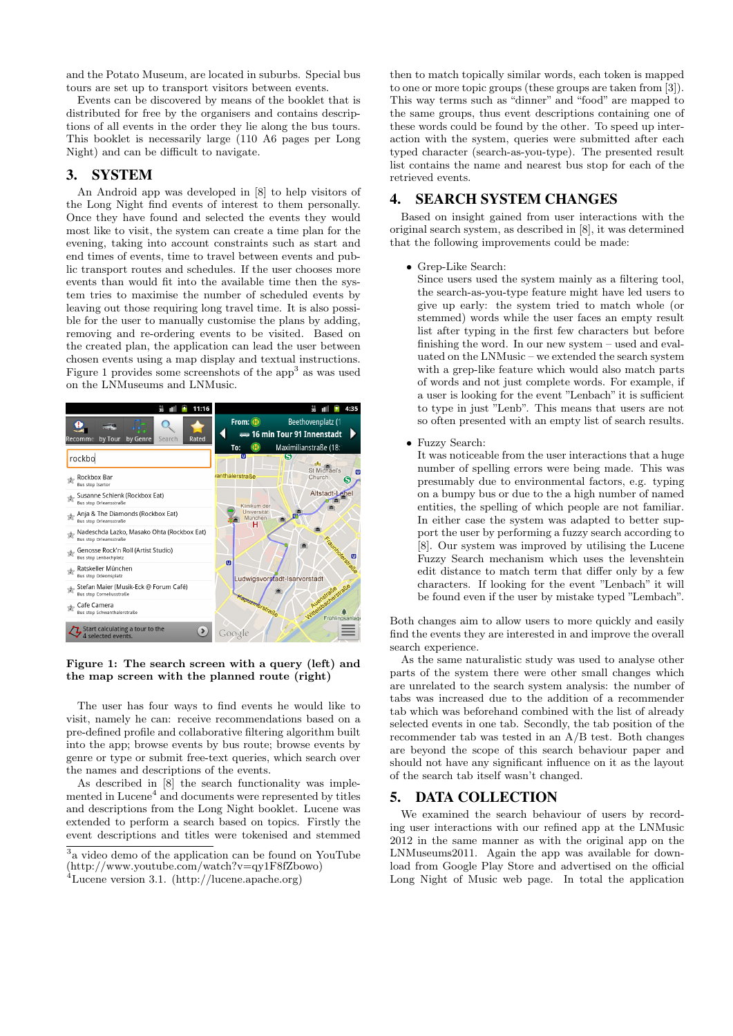and the Potato Museum, are located in suburbs. Special bus tours are set up to transport visitors between events.

Events can be discovered by means of the booklet that is distributed for free by the organisers and contains descriptions of all events in the order they lie along the bus tours. This booklet is necessarily large (110 A6 pages per Long Night) and can be difficult to navigate.

### <span id="page-1-3"></span>3. SYSTEM

An Android app was developed in [\[8\]](#page-3-5) to help visitors of the Long Night find events of interest to them personally. Once they have found and selected the events they would most like to visit, the system can create a time plan for the evening, taking into account constraints such as start and end times of events, time to travel between events and public transport routes and schedules. If the user chooses more events than would fit into the available time then the system tries to maximise the number of scheduled events by leaving out those requiring long travel time. It is also possible for the user to manually customise the plans by adding, removing and re-ordering events to be visited. Based on the created plan, the application can lead the user between chosen events using a map display and textual instructions. Figure [1](#page-1-0) provides some screenshots of the  $app<sup>3</sup>$  $app<sup>3</sup>$  $app<sup>3</sup>$  as was used on the LNMuseums and LNMusic.



Figure 1: The search screen with a query (left) and the map screen with the planned route (right)

<span id="page-1-0"></span>The user has four ways to find events he would like to visit, namely he can: receive recommendations based on a pre-defined profile and collaborative filtering algorithm built into the app; browse events by bus route; browse events by genre or type or submit free-text queries, which search over the names and descriptions of the events.

As described in [\[8\]](#page-3-5) the search functionality was imple-mented in Lucene<sup>[4](#page-1-2)</sup> and documents were represented by titles and descriptions from the Long Night booklet. Lucene was extended to perform a search based on topics. Firstly the event descriptions and titles were tokenised and stemmed

then to match topically similar words, each token is mapped to one or more topic groups (these groups are taken from [\[3\]](#page-3-6)). This way terms such as "dinner" and "food" are mapped to the same groups, thus event descriptions containing one of these words could be found by the other. To speed up interaction with the system, queries were submitted after each typed character (search-as-you-type). The presented result list contains the name and nearest bus stop for each of the retrieved events.

#### 4. SEARCH SYSTEM CHANGES

Based on insight gained from user interactions with the original search system, as described in [\[8\]](#page-3-5), it was determined that the following improvements could be made:

• Grep-Like Search:

Since users used the system mainly as a filtering tool, the search-as-you-type feature might have led users to give up early: the system tried to match whole (or stemmed) words while the user faces an empty result list after typing in the first few characters but before finishing the word. In our new system – used and evaluated on the LNMusic – we extended the search system with a grep-like feature which would also match parts of words and not just complete words. For example, if a user is looking for the event "Lenbach" it is sufficient to type in just "Lenb". This means that users are not so often presented with an empty list of search results.

• Fuzzy Search:

It was noticeable from the user interactions that a huge number of spelling errors were being made. This was presumably due to environmental factors, e.g. typing on a bumpy bus or due to the a high number of named entities, the spelling of which people are not familiar. In either case the system was adapted to better support the user by performing a fuzzy search according to [\[8\]](#page-3-5). Our system was improved by utilising the Lucene Fuzzy Search mechanism which uses the levenshtein edit distance to match term that differ only by a few characters. If looking for the event "Lenbach" it will be found even if the user by mistake typed "Lembach".

Both changes aim to allow users to more quickly and easily find the events they are interested in and improve the overall search experience.

As the same naturalistic study was used to analyse other parts of the system there were other small changes which are unrelated to the search system analysis: the number of tabs was increased due to the addition of a recommender tab which was beforehand combined with the list of already selected events in one tab. Secondly, the tab position of the recommender tab was tested in an A/B test. Both changes are beyond the scope of this search behaviour paper and should not have any significant influence on it as the layout of the search tab itself wasn't changed.

# 5. DATA COLLECTION

We examined the search behaviour of users by recording user interactions with our refined app at the LNMusic 2012 in the same manner as with the original app on the LNMuseums2011. Again the app was available for download from Google Play Store and advertised on the official Long Night of Music web page. In total the application

<span id="page-1-1"></span><sup>3</sup> a video demo of the application can be found on YouTube [\(http://www.youtube.com/watch?v=qy1F8fZbowo\)](http://www.youtube.com/watch?v=qy1F8fZbowo)

<span id="page-1-2"></span><sup>4</sup>Lucene version 3.1. [\(http://lucene.apache.org\)](http://lucene.apache.org)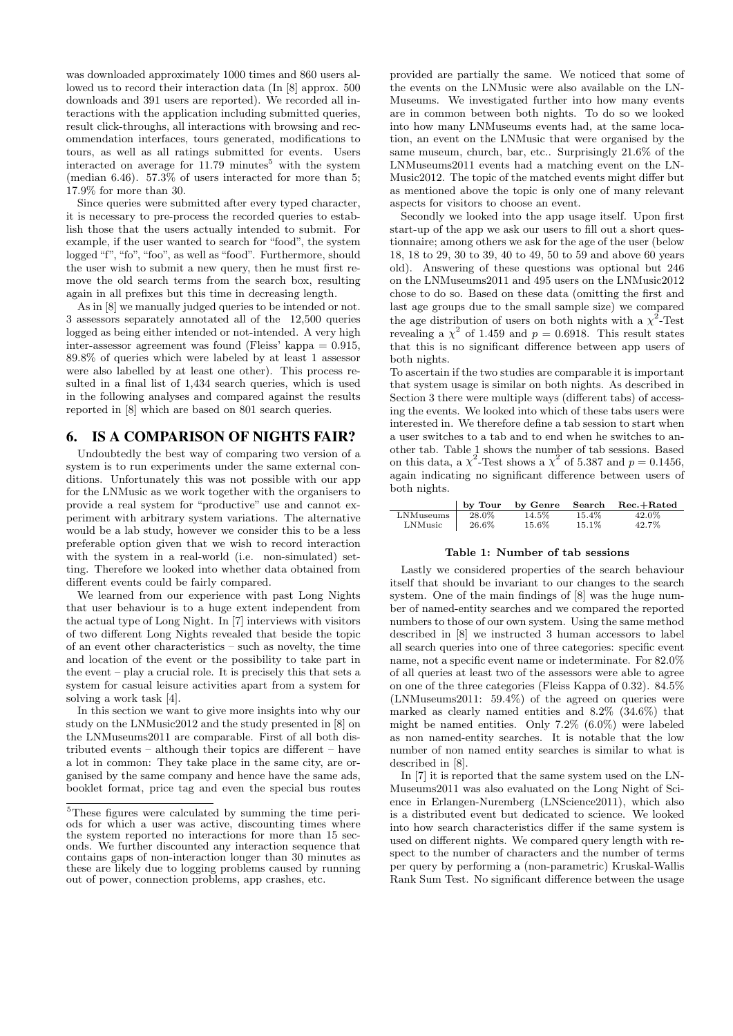was downloaded approximately 1000 times and 860 users allowed us to record their interaction data (In [\[8\]](#page-3-5) approx. 500 downloads and 391 users are reported). We recorded all interactions with the application including submitted queries, result click-throughs, all interactions with browsing and recommendation interfaces, tours generated, modifications to tours, as well as all ratings submitted for events. Users interacted on average for  $11.79$  minutes<sup>[5](#page-2-0)</sup> with the system (median 6.46). 57.3% of users interacted for more than 5; 17.9% for more than 30.

Since queries were submitted after every typed character, it is necessary to pre-process the recorded queries to establish those that the users actually intended to submit. For example, if the user wanted to search for "food", the system logged "f", "fo", "foo", as well as "food". Furthermore, should the user wish to submit a new query, then he must first remove the old search terms from the search box, resulting again in all prefixes but this time in decreasing length.

As in [\[8\]](#page-3-5) we manually judged queries to be intended or not. 3 assessors separately annotated all of the 12,500 queries logged as being either intended or not-intended. A very high inter-assessor agreement was found (Fleiss' kappa  $= 0.915$ , 89.8% of queries which were labeled by at least 1 assessor were also labelled by at least one other). This process resulted in a final list of 1,434 search queries, which is used in the following analyses and compared against the results reported in [\[8\]](#page-3-5) which are based on 801 search queries.

# 6. IS A COMPARISON OF NIGHTS FAIR?

Undoubtedly the best way of comparing two version of a system is to run experiments under the same external conditions. Unfortunately this was not possible with our app for the LNMusic as we work together with the organisers to provide a real system for "productive" use and cannot experiment with arbitrary system variations. The alternative would be a lab study, however we consider this to be a less preferable option given that we wish to record interaction with the system in a real-world (i.e. non-simulated) setting. Therefore we looked into whether data obtained from different events could be fairly compared.

We learned from our experience with past Long Nights that user behaviour is to a huge extent independent from the actual type of Long Night. In [\[7\]](#page-3-4) interviews with visitors of two different Long Nights revealed that beside the topic of an event other characteristics – such as novelty, the time and location of the event or the possibility to take part in the event – play a crucial role. It is precisely this that sets a system for casual leisure activities apart from a system for solving a work task [\[4\]](#page-3-3).

In this section we want to give more insights into why our study on the LNMusic2012 and the study presented in [\[8\]](#page-3-5) on the LNMuseums2011 are comparable. First of all both distributed events – although their topics are different – have a lot in common: They take place in the same city, are organised by the same company and hence have the same ads, booklet format, price tag and even the special bus routes

provided are partially the same. We noticed that some of the events on the LNMusic were also available on the LN-Museums. We investigated further into how many events are in common between both nights. To do so we looked into how many LNMuseums events had, at the same location, an event on the LNMusic that were organised by the same museum, church, bar, etc.. Surprisingly 21.6% of the LNMuseums2011 events had a matching event on the LN-Music2012. The topic of the matched events might differ but as mentioned above the topic is only one of many relevant aspects for visitors to choose an event.

Secondly we looked into the app usage itself. Upon first start-up of the app we ask our users to fill out a short questionnaire; among others we ask for the age of the user (below 18, 18 to 29, 30 to 39, 40 to 49, 50 to 59 and above 60 years old). Answering of these questions was optional but 246 on the LNMuseums2011 and 495 users on the LNMusic2012 chose to do so. Based on these data (omitting the first and last age groups due to the small sample size) we compared the age distribution of users on both nights with a  $\chi^2$ -Test revealing a  $\chi^2$  of 1.459 and  $p = 0.6918$ . This result states that this is no significant difference between app users of both nights.

To ascertain if the two studies are comparable it is important that system usage is similar on both nights. As described in Section [3](#page-1-3) there were multiple ways (different tabs) of accessing the events. We looked into which of these tabs users were interested in. We therefore define a tab session to start when a user switches to a tab and to end when he switches to another tab. Table [1](#page-2-1) shows the number of tab sessions. Based on this data, a  $\chi^2$ -Test shows a  $\chi^2$  of 5.387 and  $p = 0.1456$ , again indicating no significant difference between users of both nights.

|           | by Tour | by Genre | Search   | $Rec.+Rated$ |
|-----------|---------|----------|----------|--------------|
| LNMuseums | 28.0%   | 14.5%    | $15.4\%$ | 42.0%        |
| LNMusic   | 26.6%   | 15.6%    | $15.1\%$ | 42.7%        |

#### <span id="page-2-1"></span>Table 1: Number of tab sessions

Lastly we considered properties of the search behaviour itself that should be invariant to our changes to the search system. One of the main findings of [\[8\]](#page-3-5) was the huge number of named-entity searches and we compared the reported numbers to those of our own system. Using the same method described in [\[8\]](#page-3-5) we instructed 3 human accessors to label all search queries into one of three categories: specific event name, not a specific event name or indeterminate. For 82.0% of all queries at least two of the assessors were able to agree on one of the three categories (Fleiss Kappa of 0.32). 84.5% (LNMuseums2011: 59.4%) of the agreed on queries were marked as clearly named entities and 8.2% (34.6%) that might be named entities. Only 7.2% (6.0%) were labeled as non named-entity searches. It is notable that the low number of non named entity searches is similar to what is described in [\[8\]](#page-3-5).

In [\[7\]](#page-3-4) it is reported that the same system used on the LN-Museums2011 was also evaluated on the Long Night of Science in Erlangen-Nuremberg (LNScience2011), which also is a distributed event but dedicated to science. We looked into how search characteristics differ if the same system is used on different nights. We compared query length with respect to the number of characters and the number of terms per query by performing a (non-parametric) Kruskal-Wallis Rank Sum Test. No significant difference between the usage

<span id="page-2-0"></span><sup>5</sup>These figures were calculated by summing the time periods for which a user was active, discounting times where the system reported no interactions for more than 15 seconds. We further discounted any interaction sequence that contains gaps of non-interaction longer than 30 minutes as these are likely due to logging problems caused by running out of power, connection problems, app crashes, etc.